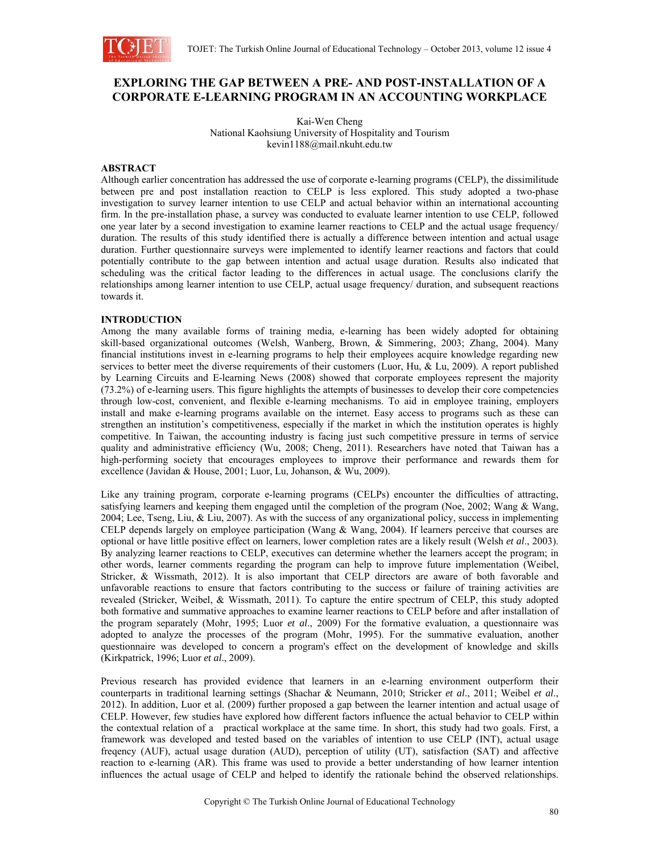

# **EXPLORING THE GAP BETWEEN A PRE- AND POST-INSTALLATION OF A CORPORATE E-LEARNING PROGRAM IN AN ACCOUNTING WORKPLACE**

Kai-Wen Cheng National Kaohsiung University of Hospitality and Tourism kevin1188@mail.nkuht.edu.tw

## **ABSTRACT**

Although earlier concentration has addressed the use of corporate e-learning programs (CELP), the dissimilitude between pre and post installation reaction to CELP is less explored. This study adopted a two-phase investigation to survey learner intention to use CELP and actual behavior within an international accounting firm. In the pre-installation phase, a survey was conducted to evaluate learner intention to use CELP, followed one year later by a second investigation to examine learner reactions to CELP and the actual usage frequency/ duration. The results of this study identified there is actually a difference between intention and actual usage duration. Further questionnaire surveys were implemented to identify learner reactions and factors that could potentially contribute to the gap between intention and actual usage duration. Results also indicated that scheduling was the critical factor leading to the differences in actual usage. The conclusions clarify the relationships among learner intention to use CELP, actual usage frequency/ duration, and subsequent reactions towards it.

## **INTRODUCTION**

Among the many available forms of training media, e-learning has been widely adopted for obtaining skill-based organizational outcomes (Welsh, Wanberg, Brown, & Simmering, 2003; Zhang, 2004). Many financial institutions invest in e-learning programs to help their employees acquire knowledge regarding new services to better meet the diverse requirements of their customers (Luor, Hu, & Lu, 2009). A report published by Learning Circuits and E-learning News (2008) showed that corporate employees represent the majority (73.2%) of e-learning users. This figure highlights the attempts of businesses to develop their core competencies through low-cost, convenient, and flexible e-learning mechanisms. To aid in employee training, employers install and make e-learning programs available on the internet. Easy access to programs such as these can strengthen an institution's competitiveness, especially if the market in which the institution operates is highly competitive. In Taiwan, the accounting industry is facing just such competitive pressure in terms of service quality and administrative efficiency (Wu, 2008; Cheng, 2011). Researchers have noted that Taiwan has a high-performing society that encourages employees to improve their performance and rewards them for excellence (Javidan & House, 2001; Luor, Lu, Johanson, & Wu, 2009).

Like any training program, corporate e-learning programs (CELPs) encounter the difficulties of attracting, satisfying learners and keeping them engaged until the completion of the program (Noe, 2002; Wang & Wang, 2004; Lee, Tseng, Liu, & Liu, 2007). As with the success of any organizational policy, success in implementing CELP depends largely on employee participation (Wang & Wang, 2004). If learners perceive that courses are optional or have little positive effect on learners, lower completion rates are a likely result (Welsh *et al*., 2003). By analyzing learner reactions to CELP, executives can determine whether the learners accept the program; in other words, learner comments regarding the program can help to improve future implementation (Weibel, Stricker, & Wissmath, 2012). It is also important that CELP directors are aware of both favorable and unfavorable reactions to ensure that factors contributing to the success or failure of training activities are revealed (Stricker, Weibel, & Wissmath, 2011). To capture the entire spectrum of CELP, this study adopted both formative and summative approaches to examine learner reactions to CELP before and after installation of the program separately (Mohr, 1995; Luor *et al*., 2009) For the formative evaluation, a questionnaire was adopted to analyze the processes of the program (Mohr, 1995). For the summative evaluation, another questionnaire was developed to concern a program's effect on the development of knowledge and skills (Kirkpatrick, 1996; Luor *et al*., 2009).

Previous research has provided evidence that learners in an e-learning environment outperform their counterparts in traditional learning settings (Shachar & Neumann, 2010; Stricker *et al*., 2011; Weibel *et al*., 2012). In addition, Luor et al. (2009) further proposed a gap between the learner intention and actual usage of CELP. However, few studies have explored how different factors influence the actual behavior to CELP within the contextual relation of a practical workplace at the same time. In short, this study had two goals. First, a framework was developed and tested based on the variables of intention to use CELP (INT), actual usage freqency (AUF), actual usage duration (AUD), perception of utility (UT), satisfaction (SAT) and affective reaction to e-learning (AR). This frame was used to provide a better understanding of how learner intention influences the actual usage of CELP and helped to identify the rationale behind the observed relationships.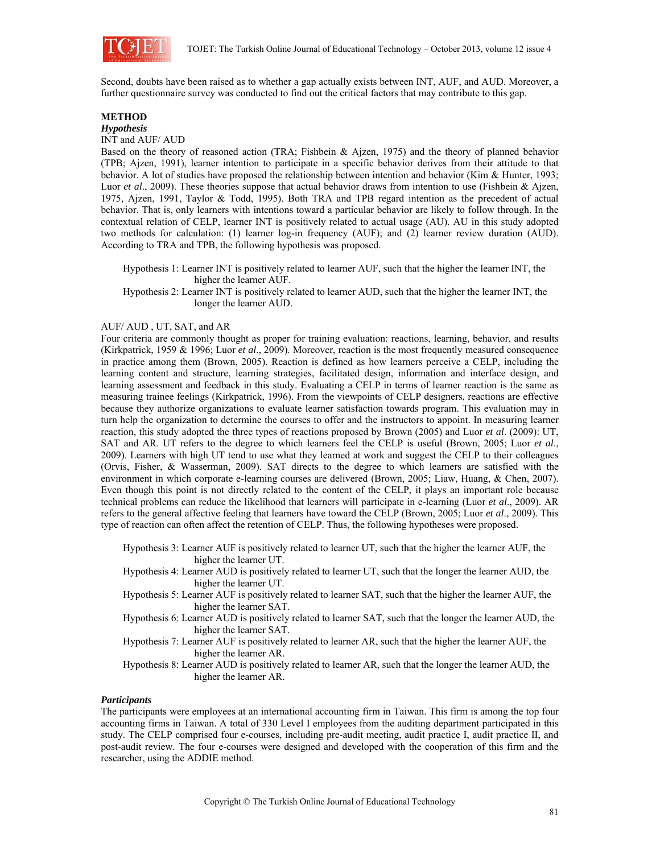

Second, doubts have been raised as to whether a gap actually exists between INT, AUF, and AUD. Moreover, a further questionnaire survey was conducted to find out the critical factors that may contribute to this gap.

## **METHOD**

*Hypothesis* 

INT and AUF/ AUD

Based on the theory of reasoned action (TRA; Fishbein & Ajzen, 1975) and the theory of planned behavior (TPB; Ajzen, 1991), learner intention to participate in a specific behavior derives from their attitude to that behavior. A lot of studies have proposed the relationship between intention and behavior (Kim & Hunter, 1993; Luor *et al.*, 2009). These theories suppose that actual behavior draws from intention to use (Fishbein & Ajzen, 1975, Ajzen, 1991, Taylor & Todd, 1995). Both TRA and TPB regard intention as the precedent of actual behavior. That is, only learners with intentions toward a particular behavior are likely to follow through. In the contextual relation of CELP, learner INT is positively related to actual usage (AU). AU in this study adopted two methods for calculation: (1) learner log-in frequency (AUF); and (2) learner review duration (AUD). According to TRA and TPB, the following hypothesis was proposed.

Hypothesis 1: Learner INT is positively related to learner AUF, such that the higher the learner INT, the higher the learner AUF.

Hypothesis 2: Learner INT is positively related to learner AUD, such that the higher the learner INT, the longer the learner AUD.

#### AUF/ AUD , UT, SAT, and AR

Four criteria are commonly thought as proper for training evaluation: reactions, learning, behavior, and results (Kirkpatrick, 1959 & 1996; Luor *et al*., 2009). Moreover, reaction is the most frequently measured consequence in practice among them (Brown, 2005). Reaction is defined as how learners perceive a CELP, including the learning content and structure, learning strategies, facilitated design, information and interface design, and learning assessment and feedback in this study. Evaluating a CELP in terms of learner reaction is the same as measuring trainee feelings (Kirkpatrick, 1996). From the viewpoints of CELP designers, reactions are effective because they authorize organizations to evaluate learner satisfaction towards program. This evaluation may in turn help the organization to determine the courses to offer and the instructors to appoint. In measuring learner reaction, this study adopted the three types of reactions proposed by Brown (2005) and Luor *et al*. (2009): UT, SAT and AR. UT refers to the degree to which learners feel the CELP is useful (Brown, 2005; Luor *et al*., 2009). Learners with high UT tend to use what they learned at work and suggest the CELP to their colleagues (Orvis, Fisher, & Wasserman, 2009). SAT directs to the degree to which learners are satisfied with the environment in which corporate e-learning courses are delivered (Brown, 2005; Liaw, Huang, & Chen, 2007). Even though this point is not directly related to the content of the CELP, it plays an important role because technical problems can reduce the likelihood that learners will participate in e-learning (Luor *et al*., 2009). AR refers to the general affective feeling that learners have toward the CELP (Brown, 2005; Luor *et al*., 2009). This type of reaction can often affect the retention of CELP. Thus, the following hypotheses were proposed.

Hypothesis 3: Learner AUF is positively related to learner UT, such that the higher the learner AUF, the higher the learner UT.

Hypothesis 4: Learner AUD is positively related to learner UT, such that the longer the learner AUD, the higher the learner UT.

- Hypothesis 5: Learner AUF is positively related to learner SAT, such that the higher the learner AUF, the higher the learner SAT.
- Hypothesis 6: Learner AUD is positively related to learner SAT, such that the longer the learner AUD, the higher the learner SAT.
- Hypothesis 7: Learner AUF is positively related to learner AR, such that the higher the learner AUF, the higher the learner AR.
- Hypothesis 8: Learner AUD is positively related to learner AR, such that the longer the learner AUD, the higher the learner AR.

#### *Participants*

The participants were employees at an international accounting firm in Taiwan. This firm is among the top four accounting firms in Taiwan. A total of 330 Level I employees from the auditing department participated in this study. The CELP comprised four e-courses, including pre-audit meeting, audit practice I, audit practice II, and post-audit review. The four e-courses were designed and developed with the cooperation of this firm and the researcher, using the ADDIE method.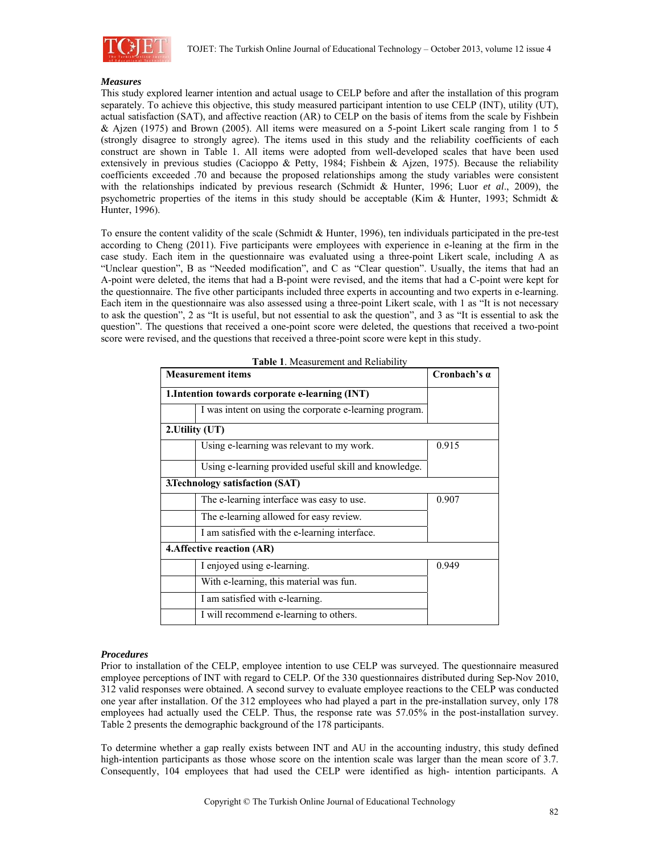

### *Measures*

This study explored learner intention and actual usage to CELP before and after the installation of this program separately. To achieve this objective, this study measured participant intention to use CELP (INT), utility (UT), actual satisfaction (SAT), and affective reaction (AR) to CELP on the basis of items from the scale by Fishbein & Ajzen (1975) and Brown (2005). All items were measured on a 5-point Likert scale ranging from 1 to 5 (strongly disagree to strongly agree). The items used in this study and the reliability coefficients of each construct are shown in Table 1. All items were adopted from well-developed scales that have been used extensively in previous studies (Cacioppo & Petty, 1984; Fishbein & Ajzen, 1975). Because the reliability coefficients exceeded .70 and because the proposed relationships among the study variables were consistent with the relationships indicated by previous research (Schmidt & Hunter, 1996; Luor *et al*., 2009), the psychometric properties of the items in this study should be acceptable (Kim & Hunter, 1993; Schmidt & Hunter, 1996).

To ensure the content validity of the scale (Schmidt & Hunter, 1996), ten individuals participated in the pre-test according to Cheng (2011). Five participants were employees with experience in e-leaning at the firm in the case study. Each item in the questionnaire was evaluated using a three-point Likert scale, including A as "Unclear question", B as "Needed modification", and C as "Clear question". Usually, the items that had an A-point were deleted, the items that had a B-point were revised, and the items that had a C-point were kept for the questionnaire. The five other participants included three experts in accounting and two experts in e-learning. Each item in the questionnaire was also assessed using a three-point Likert scale, with 1 as "It is not necessary to ask the question", 2 as "It is useful, but not essential to ask the question", and 3 as "It is essential to ask the question". The questions that received a one-point score were deleted, the questions that received a two-point score were revised, and the questions that received a three-point score were kept in this study.

| <b>Measurement items</b>                                | Cronbach's $\alpha$ |
|---------------------------------------------------------|---------------------|
| 1. Intention towards corporate e-learning (INT)         |                     |
| I was intent on using the corporate e-learning program. |                     |
| 2. Utility (UT)                                         |                     |
| Using e-learning was relevant to my work.               | 0.915               |
| Using e-learning provided useful skill and knowledge.   |                     |
| 3.Technology satisfaction (SAT)                         |                     |
| The e-learning interface was easy to use.               | 0.907               |
| The e-learning allowed for easy review.                 |                     |
| I am satisfied with the e-learning interface.           |                     |
| 4. Affective reaction (AR)                              |                     |
| I enjoyed using e-learning.                             | 0.949               |
| With e-learning, this material was fun.                 |                     |
| I am satisfied with e-learning.                         |                     |
| I will recommend e-learning to others.                  |                     |

**Table 1**. Measurement and Reliability

#### *Procedures*

Prior to installation of the CELP, employee intention to use CELP was surveyed. The questionnaire measured employee perceptions of INT with regard to CELP. Of the 330 questionnaires distributed during Sep-Nov 2010, 312 valid responses were obtained. A second survey to evaluate employee reactions to the CELP was conducted one year after installation. Of the 312 employees who had played a part in the pre-installation survey, only 178 employees had actually used the CELP. Thus, the response rate was 57.05% in the post-installation survey. Table 2 presents the demographic background of the 178 participants.

To determine whether a gap really exists between INT and AU in the accounting industry, this study defined high-intention participants as those whose score on the intention scale was larger than the mean score of 3.7. Consequently, 104 employees that had used the CELP were identified as high- intention participants. A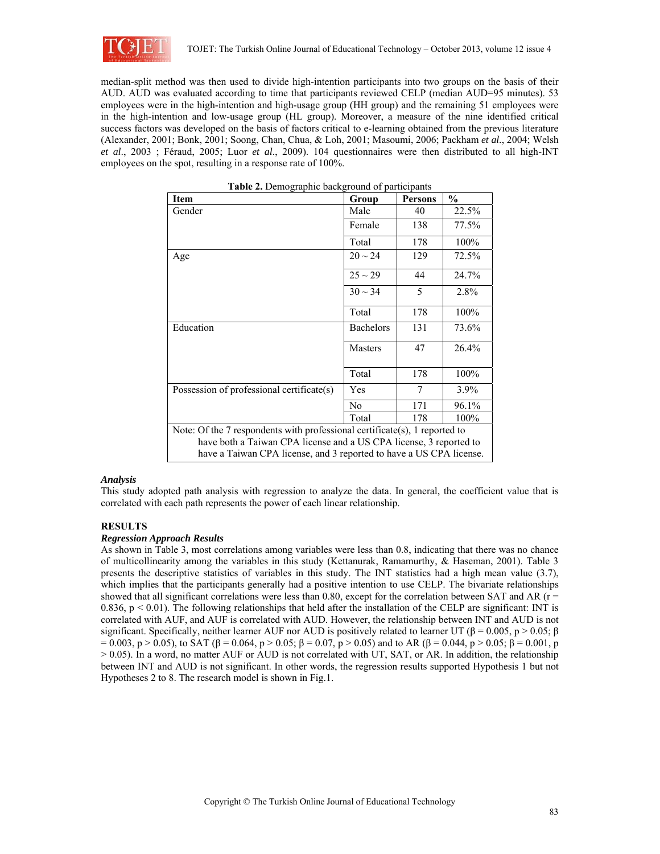

median-split method was then used to divide high-intention participants into two groups on the basis of their AUD. AUD was evaluated according to time that participants reviewed CELP (median AUD=95 minutes). 53 employees were in the high-intention and high-usage group (HH group) and the remaining 51 employees were in the high-intention and low-usage group (HL group). Moreover, a measure of the nine identified critical success factors was developed on the basis of factors critical to e-learning obtained from the previous literature (Alexander, 2001; Bonk, 2001; Soong, Chan, Chua, & Loh, 2001; Masoumi, 2006; Packham *et al.*, 2004; Welsh *et al*., 2003 ; Féraud, 2005; Luor *et al*., 2009). 104 questionnaires were then distributed to all high-INT employees on the spot, resulting in a response rate of 100%.

| <b>Item</b>                                                                | Group            | <b>Persons</b> | $\frac{0}{0}$ |  |  |  |
|----------------------------------------------------------------------------|------------------|----------------|---------------|--|--|--|
| Gender                                                                     | Male             | 40             | 22.5%         |  |  |  |
|                                                                            | Female           | 138            | 77.5%         |  |  |  |
|                                                                            | Total            | 178            | 100%          |  |  |  |
| Age                                                                        | $20 \sim 24$     | 129            | 72.5%         |  |  |  |
|                                                                            | $25 \sim 29$     | 44             | 24.7%         |  |  |  |
|                                                                            | $30 \sim 34$     | 5              | 2.8%          |  |  |  |
|                                                                            | Total            | 178            | 100%          |  |  |  |
| Education                                                                  | <b>Bachelors</b> | 131            | 73.6%         |  |  |  |
|                                                                            | <b>Masters</b>   | 47             | 26.4%         |  |  |  |
|                                                                            | Total            | 178            | 100%          |  |  |  |
| Possession of professional certificate(s)                                  | Yes              | 7              | 3.9%          |  |  |  |
|                                                                            | N <sub>0</sub>   | 171            | 96.1%         |  |  |  |
|                                                                            | Total            | 178            | 100%          |  |  |  |
| Note: Of the 7 respondents with professional certificate(s), 1 reported to |                  |                |               |  |  |  |
| have both a Taiwan CPA license and a US CPA license, 3 reported to         |                  |                |               |  |  |  |
| have a Taiwan CPA license, and 3 reported to have a US CPA license.        |                  |                |               |  |  |  |

| Table 2. Demographic background of participants |
|-------------------------------------------------|
|-------------------------------------------------|

#### *Analysis*

This study adopted path analysis with regression to analyze the data. In general, the coefficient value that is correlated with each path represents the power of each linear relationship.

#### **RESULTS**

#### *Regression Approach Results*

As shown in Table 3, most correlations among variables were less than 0.8, indicating that there was no chance of multicollinearity among the variables in this study (Kettanurak, Ramamurthy, & Haseman, 2001). Table 3 presents the descriptive statistics of variables in this study. The INT statistics had a high mean value (3.7), which implies that the participants generally had a positive intention to use CELP. The bivariate relationships showed that all significant correlations were less than 0.80, except for the correlation between SAT and AR ( $r =$ 0.836,  $p \le 0.01$ ). The following relationships that held after the installation of the CELP are significant: INT is correlated with AUF, and AUF is correlated with AUD. However, the relationship between INT and AUD is not significant. Specifically, neither learner AUF nor AUD is positively related to learner UT (β = 0.005, p > 0.05; β  $= 0.003$ , p > 0.05), to SAT (β = 0.064, p > 0.05; β = 0.07, p > 0.05) and to AR (β = 0.044, p > 0.05; β = 0.001, p > 0.05). In a word, no matter AUF or AUD is not correlated with UT, SAT, or AR. In addition, the relationship between INT and AUD is not significant. In other words, the regression results supported Hypothesis 1 but not Hypotheses 2 to 8. The research model is shown in Fig.1.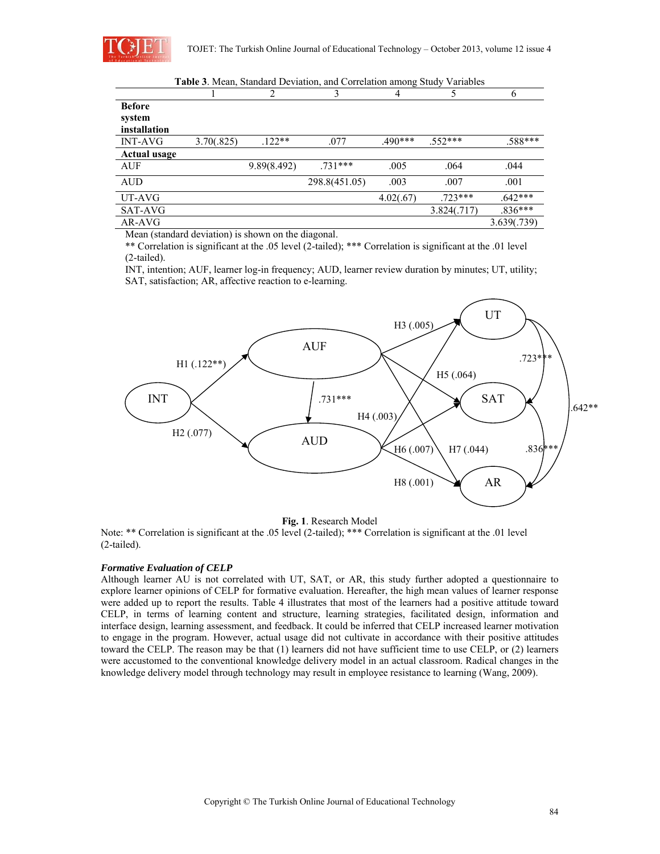

|                                         |            |             | <b>Table 3.</b> Mean, Standard Deviation, and Correlation among Study Variables |           |             |             |
|-----------------------------------------|------------|-------------|---------------------------------------------------------------------------------|-----------|-------------|-------------|
|                                         |            | 2           | 3                                                                               | 4         |             | 6           |
| <b>Before</b><br>system<br>installation |            |             |                                                                                 |           |             |             |
| INT-AVG                                 | 3.70(.825) | $122**$     | .077                                                                            | $.490***$ | $.552***$   | .588***     |
| Actual usage                            |            |             |                                                                                 |           |             |             |
| AUF                                     |            | 9.89(8.492) | $.731***$                                                                       | .005      | .064        | .044        |
| <b>AUD</b>                              |            |             | 298.8(451.05)                                                                   | .003      | .007        | .001        |
| UT-AVG                                  |            |             |                                                                                 | 4.02(.67) | $.723***$   | $.642***$   |
| SAT-AVG                                 |            |             |                                                                                 |           | 3.824(.717) | $.836***$   |
| AR-AVG                                  |            |             |                                                                                 |           |             | 3.639(.739) |

Mean (standard deviation) is shown on the diagonal.

\*\* Correlation is significant at the .05 level (2-tailed); \*\*\* Correlation is significant at the .01 level (2-tailed).

INT, intention; AUF, learner log-in frequency; AUD, learner review duration by minutes; UT, utility; SAT, satisfaction; AR, affective reaction to e-learning.



**Fig. 1**. Research Model

Note: \*\* Correlation is significant at the .05 level (2-tailed); \*\*\* Correlation is significant at the .01 level (2-tailed).

#### *Formative Evaluation of CELP*

Although learner AU is not correlated with UT, SAT, or AR, this study further adopted a questionnaire to explore learner opinions of CELP for formative evaluation. Hereafter, the high mean values of learner response were added up to report the results. Table 4 illustrates that most of the learners had a positive attitude toward CELP, in terms of learning content and structure, learning strategies, facilitated design, information and interface design, learning assessment, and feedback. It could be inferred that CELP increased learner motivation to engage in the program. However, actual usage did not cultivate in accordance with their positive attitudes toward the CELP. The reason may be that (1) learners did not have sufficient time to use CELP, or (2) learners were accustomed to the conventional knowledge delivery model in an actual classroom. Radical changes in the knowledge delivery model through technology may result in employee resistance to learning (Wang, 2009).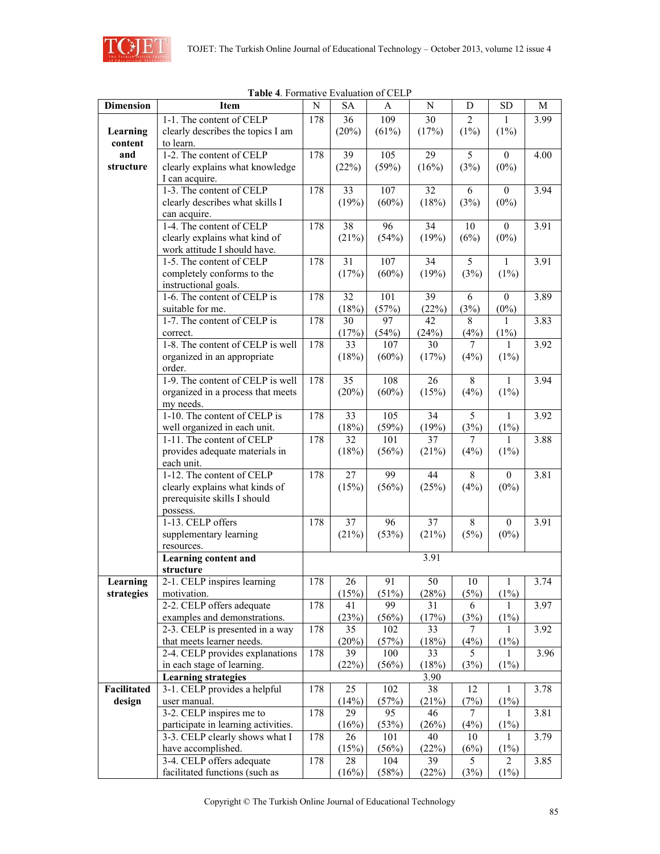

|                  | <b>Rapic 4.</b> Formative Evaluation of CEET |     |                 |             |                 |                |                |             |
|------------------|----------------------------------------------|-----|-----------------|-------------|-----------------|----------------|----------------|-------------|
| <b>Dimension</b> | <b>Item</b>                                  | N   | SA              | A           | $\mathbf N$     | D              | ${\rm SD}$     | $\mathbf M$ |
|                  | 1-1. The content of CELP                     | 178 | 36              | 109         | 30              | $\overline{2}$ | 1              | 3.99        |
| Learning         | clearly describes the topics I am            |     | (20%)           | (61%)       | (17%)           | $(1\%)$        | $(1\%)$        |             |
| content          | to learn.                                    |     |                 |             |                 |                |                |             |
| and              | 1-2. The content of CELP                     | 178 | 39              | 105         | 29              | 5              | $\theta$       | 4.00        |
| structure        | clearly explains what knowledge              |     | (22%)           | (59%)       | (16%)           | (3%)           | $(0\%)$        |             |
|                  | I can acquire.                               |     |                 |             |                 |                |                |             |
|                  | 1-3. The content of CELP                     | 178 | 33              | 107         | $\overline{32}$ | 6              | $\theta$       | 3.94        |
|                  | clearly describes what skills I              |     | (19%)           | (60%)       | (18%)           | (3%)           | $(0\%)$        |             |
|                  | can acquire.                                 |     |                 |             |                 |                |                |             |
|                  | 1-4. The content of CELP                     | 178 | 38              | 96          | 34              | 10             | $\overline{0}$ | 3.91        |
|                  | clearly explains what kind of                |     | (21%)           | (54%)       | (19%)           | (6%)           | $(0\%)$        |             |
|                  | work attitude I should have.                 |     |                 |             |                 |                |                |             |
|                  | 1-5. The content of CELP                     | 178 | 31              | 107         | 34              | 5              | $\mathbf{1}$   | 3.91        |
|                  | completely conforms to the                   |     | (17%)           | (60%)       | (19%)           | (3%)           | $(1\%)$        |             |
|                  | instructional goals.                         |     |                 |             |                 |                |                |             |
|                  | 1-6. The content of CELP is                  | 178 | 32              | 101         | 39              | 6              | $\mathbf{0}$   | 3.89        |
|                  | suitable for me.                             |     |                 |             | (22%)           |                | $(0\%)$        |             |
|                  | 1-7. The content of CELP is                  | 178 | (18%)<br>30     | (57%)<br>97 | 42              | (3%)<br>8      |                | 3.83        |
|                  |                                              |     |                 |             |                 |                | 1              |             |
|                  | correct.                                     |     | (17%)           | (54%)       | (24%)           | (4%)           | (1%)           |             |
|                  | 1-8. The content of CELP is well             | 178 | $\overline{33}$ | 107         | $\overline{30}$ | 7              | 1              | 3.92        |
|                  | organized in an appropriate                  |     | (18%)           | (60%)       | (17%)           | (4%)           | $(1\%)$        |             |
|                  | order.                                       |     |                 |             |                 |                |                |             |
|                  | 1-9. The content of CELP is well             | 178 | 35              | 108         | 26              | $8\,$          | 1              | 3.94        |
|                  | organized in a process that meets            |     | (20%)           | $(60\%)$    | (15%)           | (4%)           | $(1\%)$        |             |
|                  | my needs.                                    |     |                 |             |                 |                |                |             |
|                  | 1-10. The content of CELP is                 | 178 | 33              | 105         | 34              | 5              | $\mathbf{1}$   | 3.92        |
|                  | well organized in each unit.                 |     | (18%)           | (59%)       | (19%)           | (3%)           | $(1\%)$        |             |
|                  | 1-11. The content of CELP                    | 178 | 32              | 101         | 37              | 7              | 1              | 3.88        |
|                  | provides adequate materials in               |     | (18%)           | (56%)       | (21%)           | (4%)           | $(1\%)$        |             |
|                  | each unit.                                   |     |                 |             |                 |                |                |             |
|                  | 1-12. The content of CELP                    | 178 | 27              | 99          | 44              | 8              | $\theta$       | 3.81        |
|                  | clearly explains what kinds of               |     | (15%)           | (56%)       | (25%)           | (4%)           | $(0\%)$        |             |
|                  | prerequisite skills I should                 |     |                 |             |                 |                |                |             |
|                  | possess.                                     |     |                 |             |                 |                |                |             |
|                  | 1-13. CELP offers                            | 178 | 37              | 96          | 37              | 8              | $\mathbf{0}$   | 3.91        |
|                  | supplementary learning                       |     | (21%)           | (53%)       | (21%)           | (5%)           | $(0\%)$        |             |
|                  | resources.                                   |     |                 |             |                 |                |                |             |
|                  | <b>Learning content and</b>                  |     |                 |             | 3.91            |                |                |             |
|                  | structure                                    |     |                 |             |                 |                |                |             |
| Learning         | 2-1. CELP inspires learning                  | 178 | 26              | 91          | 50              | 10             | 1              | 3.74        |
| strategies       | motivation.                                  |     | (15%)           | (51%)       | (28%)           | (5%)           | (1%)           |             |
|                  | 2-2. CELP offers adequate                    | 178 | 41              | 99          | 31              | 6              | 1              | 3.97        |
|                  | examples and demonstrations.                 |     | (23%)           | (56%)       | (17%)           | (3%)           | (1%)           |             |
|                  | 2-3. CELP is presented in a way              | 178 | 35              | 102         | 33              | 7              | 1              | 3.92        |
|                  | that meets learner needs.                    |     | (20%)           | (57%)       | (18%)           | (4%)           | (1%)           |             |
|                  | 2-4. CELP provides explanations              | 178 | 39              | 100         | 33              | 5              | 1              | 3.96        |
|                  | in each stage of learning.                   |     | (22%)           | (56%)       | (18%)           | (3%)           | (1%)           |             |
|                  | <b>Learning strategies</b>                   |     |                 |             | 3.90            |                |                |             |
| Facilitated      | 3-1. CELP provides a helpful                 | 178 | 25              | 102         | 38              | 12             | $\mathbf{1}$   | 3.78        |
| design           | user manual.                                 |     | (14%)           | (57%)       | (21%)           | (7%)           | $(1\%)$        |             |
|                  | 3-2. CELP inspires me to                     | 178 | 29              | 95          | 46              | 7              | 1              | 3.81        |
|                  | participate in learning activities.          |     | (16%)           | (53%)       | (26%)           | (4%)           |                |             |
|                  |                                              |     |                 |             |                 |                | $(1\%)$        |             |
|                  | 3-3. CELP clearly shows what I               | 178 | 26              | 101         | 40              | 10             | 1              | 3.79        |
|                  | have accomplished.                           |     | (15%)           | (56%)       | (22%)           | (6%)           | (1%)           |             |
|                  | 3-4. CELP offers adequate                    | 178 | 28              | 104         | 39              | 5              | $\overline{2}$ | 3.85        |
|                  | facilitated functions (such as               |     | (16%)           | (58%)       | (22%)           | (3%)           | $(1\%)$        |             |

**Table 4**. Formative Evaluation of CELP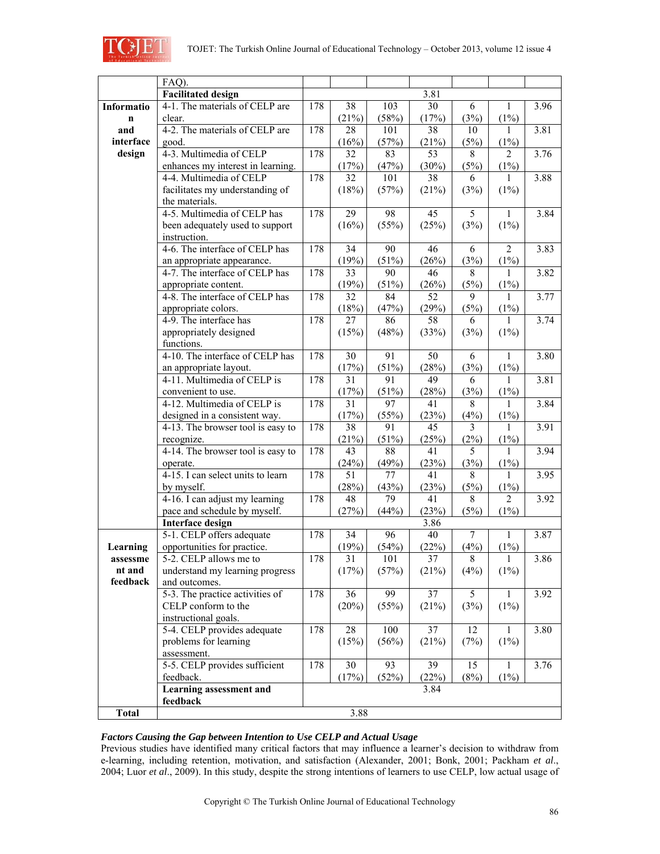

|              | FAQ).                             |     |                 |       |                 |        |                          |      |
|--------------|-----------------------------------|-----|-----------------|-------|-----------------|--------|--------------------------|------|
|              | <b>Facilitated design</b>         |     |                 |       | 3.81            |        |                          |      |
| Informatio   | 4-1. The materials of CELP are    | 178 | 38              | 103   | 30              | 6      | $\mathbf{1}$             | 3.96 |
| $\mathbf n$  | clear.                            |     | (21%)           | (58%) | (17%)           | (3%)   | $(1\%)$                  |      |
| and          | 4-2. The materials of CELP are    | 178 | 28              | 101   | 38              | 10     | 1                        | 3.81 |
| interface    | good.                             |     | (16%)           | (57%) | (21%)           | (5%)   | (1%)                     |      |
| design       | 4-3. Multimedia of CELP           | 178 | 32              | 83    | 53              | 8      | $\overline{\mathcal{L}}$ | 3.76 |
|              | enhances my interest in learning. |     | (17%)           | (47%) | (30%)           | (5%)   | $(1\%)$                  |      |
|              | 4-4. Multimedia of CELP           | 178 | $\overline{32}$ | 101   | 38              | 6      | 1                        | 3.88 |
|              | facilitates my understanding of   |     | (18%)           | (57%) | (21%)           | (3%)   | $(1\%)$                  |      |
|              | the materials.                    |     |                 |       |                 |        |                          |      |
|              | 4-5. Multimedia of CELP has       | 178 | 29              | 98    | 45              | 5      | $\mathbf{1}$             | 3.84 |
|              | been adequately used to support   |     | (16%)           | (55%) | (25%)           | (3%)   | $(1\%)$                  |      |
|              | instruction.                      |     |                 |       |                 |        |                          |      |
|              | 4-6. The interface of CELP has    | 178 | 34              | 90    | 46              | 6      | $\overline{2}$           | 3.83 |
|              | an appropriate appearance.        |     | (19%)           | (51%) | (26%)           | (3%)   | (1%)                     |      |
|              | 4-7. The interface of CELP has    | 178 | 33              | 90    | 46              | 8      | 1                        | 3.82 |
|              | appropriate content.              |     | (19%)           | (51%) | (26%)           | (5%)   | (1%)                     |      |
|              | 4-8. The interface of CELP has    | 178 | 32              | 84    | 52              | 9      | 1                        | 3.77 |
|              | appropriate colors.               |     | (18%)           | (47%) | (29%)           | (5%)   | $(1\%)$                  |      |
|              | 4-9. The interface has            | 178 | 27              | 86    | $\overline{58}$ | 6      | 1                        | 3.74 |
|              | appropriately designed            |     | (15%)           | (48%) | (33%)           | (3%)   | $(1\%)$                  |      |
|              | functions.                        |     |                 |       |                 |        |                          |      |
|              | 4-10. The interface of CELP has   | 178 | 30              | 91    | 50              | 6      | $\mathbf{1}$             | 3.80 |
|              | an appropriate layout.            |     | (17%)           | (51%) | (28%)           | (3%)   | $(1\%)$                  |      |
|              | 4-11. Multimedia of CELP is       | 178 | 31              | 91    | 49              | 6      | 1                        | 3.81 |
|              | convenient to use.                |     | (17%)           | (51%) | (28%)           | (3%)   | $(1\%)$                  |      |
|              | 4-12. Multimedia of CELP is       | 178 | 31              | 97    | 41              | 8      | 1                        | 3.84 |
|              | designed in a consistent way.     |     | (17%)           | (55%) | (23%)           | (4%)   | (1%)                     |      |
|              | 4-13. The browser tool is easy to | 178 | 38              | 91    | 45              | 3      | 1                        | 3.91 |
|              | recognize.                        |     | (21%)           | (51%) | (25%)           | (2%)   | (1%)                     |      |
|              | 4-14. The browser tool is easy to | 178 | 43              | 88    | 41              | 5      | 1                        | 3.94 |
|              | operate.                          |     | (24%)           | (49%) | (23%)           | (3%)   | $(1\%)$                  |      |
|              | 4-15. I can select units to learn | 178 | 51              | 77    | 41              | 8      | 1                        | 3.95 |
|              | by myself.                        |     | (28%)           | (43%) | (23%)           | (5%)   | (1%)                     |      |
|              | 4-16. I can adjust my learning    | 178 | 48              | 79    | 41              | 8      | $\overline{2}$           | 3.92 |
|              | pace and schedule by myself.      |     | (27%)           | (44%) | (23%)           | (5%)   | $(1\%)$                  |      |
|              | <b>Interface design</b>           |     |                 |       | 3.86            |        |                          |      |
|              | 5-1. CELP offers adequate         | 178 | 34              | 96    | 40              | $\tau$ | $\mathbf{1}$             | 3.87 |
| Learning     | opportunities for practice.       |     | (19%)           | (54%) | (22%)           | (4%)   | $(1\%)$                  |      |
| assessme     | 5-2. CELP allows me to            | 178 | 31              | 101   | 37              | 8      | 1                        | 3.86 |
| nt and       | understand my learning progress   |     | (17%)           | (57%) | (21%)           | (4%)   | $(1\%)$                  |      |
| feedback     | and outcomes.                     |     |                 |       |                 |        |                          |      |
|              | 5-3. The practice activities of   | 178 | 36              | 99    | 37              | 5      | 1                        | 3.92 |
|              | CELP conform to the               |     | (20%)           | (55%) | (21%)           | (3%)   | $(1\%)$                  |      |
|              | instructional goals.              |     |                 |       |                 |        |                          |      |
|              | 5-4. CELP provides adequate       | 178 | 28              | 100   | 37              | 12     | 1                        | 3.80 |
|              | problems for learning             |     | (15%)           | (56%) | (21%)           | (7%)   | $(1\%)$                  |      |
|              | assessment.                       |     |                 |       |                 |        |                          |      |
|              | 5-5. CELP provides sufficient     | 178 | 30              | 93    | 39              | 15     | $\mathbf{1}$             | 3.76 |
|              | feedback.                         |     | (17%)           | (52%) | (22%)           | (8%)   | (1%)                     |      |
|              | Learning assessment and           |     |                 |       | 3.84            |        |                          |      |
|              | feedback                          |     |                 |       |                 |        |                          |      |
| <b>Total</b> |                                   |     | 3.88            |       |                 |        |                          |      |

# *Factors Causing the Gap between Intention to Use CELP and Actual Usage*

Previous studies have identified many critical factors that may influence a learner's decision to withdraw from e-learning, including retention, motivation, and satisfaction (Alexander, 2001; Bonk, 2001; Packham *et al*., 2004; Luor *et al*., 2009). In this study, despite the strong intentions of learners to use CELP, low actual usage of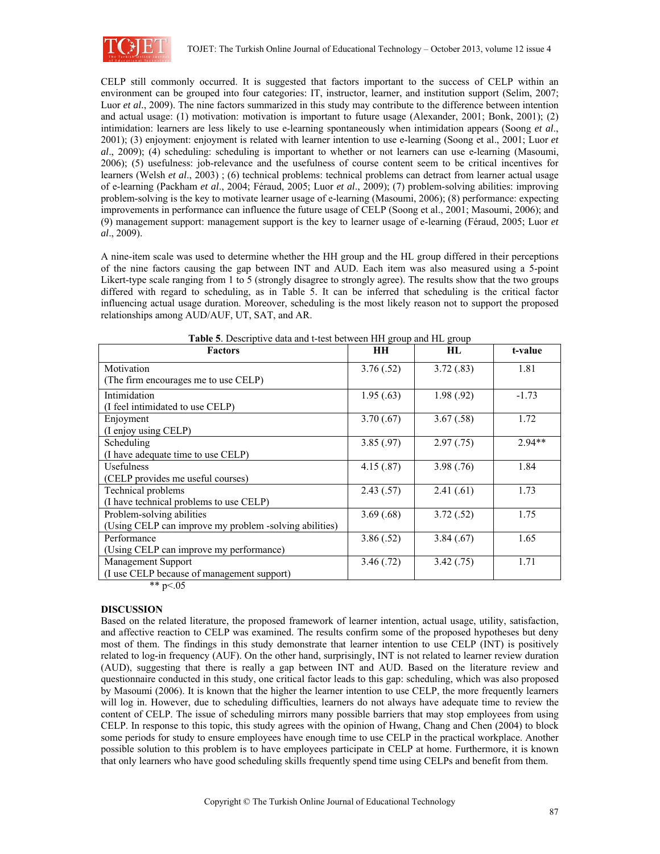

CELP still commonly occurred. It is suggested that factors important to the success of CELP within an environment can be grouped into four categories: IT, instructor, learner, and institution support (Selim, 2007; Luor *et al.*, 2009). The nine factors summarized in this study may contribute to the difference between intention and actual usage: (1) motivation: motivation is important to future usage (Alexander, 2001; Bonk, 2001); (2) intimidation: learners are less likely to use e-learning spontaneously when intimidation appears (Soong *et al*., 2001); (3) enjoyment: enjoyment is related with learner intention to use e-learning (Soong et al., 2001; Luor *et al*., 2009); (4) scheduling: scheduling is important to whether or not learners can use e-learning (Masoumi, 2006); (5) usefulness: job-relevance and the usefulness of course content seem to be critical incentives for learners (Welsh *et al*., 2003) ; (6) technical problems: technical problems can detract from learner actual usage of e-learning (Packham *et al*., 2004; Féraud, 2005; Luor *et al*., 2009); (7) problem-solving abilities: improving problem-solving is the key to motivate learner usage of e-learning (Masoumi, 2006); (8) performance: expecting improvements in performance can influence the future usage of CELP (Soong et al., 2001; Masoumi, 2006); and (9) management support: management support is the key to learner usage of e-learning (Féraud, 2005; Luor *et al*., 2009).

A nine-item scale was used to determine whether the HH group and the HL group differed in their perceptions of the nine factors causing the gap between INT and AUD. Each item was also measured using a 5-point Likert-type scale ranging from 1 to 5 (strongly disagree to strongly agree). The results show that the two groups differed with regard to scheduling, as in Table 5. It can be inferred that scheduling is the critical factor influencing actual usage duration. Moreover, scheduling is the most likely reason not to support the proposed relationships among AUD/AUF, UT, SAT, and AR.

| <b>Factors</b>                                         | HН        | HL.        | t-value  |
|--------------------------------------------------------|-----------|------------|----------|
| Motivation                                             | 3.76(.52) | 3.72(.83)  | 1.81     |
| (The firm encourages me to use CELP)                   |           |            |          |
| Intimidation                                           | 1.95(.63) | 1.98(.92)  | $-1.73$  |
| (I feel intimidated to use CELP)                       |           |            |          |
| Enjoyment                                              | 3.70(.67) | 3.67(.58)  | 1.72     |
| (I enjoy using CELP)                                   |           |            |          |
| Scheduling                                             | 3.85(.97) | 2.97(0.75) | $2.94**$ |
| (I have adequate time to use CELP)                     |           |            |          |
| <b>Usefulness</b>                                      | 4.15(.87) | 3.98(.76)  | 1.84     |
| (CELP provides me useful courses)                      |           |            |          |
| Technical problems                                     | 2.43(.57) | 2.41(.61)  | 1.73     |
| (I have technical problems to use CELP)                |           |            |          |
| Problem-solving abilities                              | 3.69(.68) | 3.72(.52)  | 1.75     |
| (Using CELP can improve my problem -solving abilities) |           |            |          |
| Performance                                            | 3.86(.52) | 3.84(.67)  | 1.65     |
| (Using CELP can improve my performance)                |           |            |          |
| Management Support                                     | 3.46(.72) | 3.42(.75)  | 1.71     |
| (I use CELP because of management support)             |           |            |          |

**Table 5**. Descriptive data and t-test between HH group and HL group

\*\*  $p<.05$ 

## **DISCUSSION**

Based on the related literature, the proposed framework of learner intention, actual usage, utility, satisfaction, and affective reaction to CELP was examined. The results confirm some of the proposed hypotheses but deny most of them. The findings in this study demonstrate that learner intention to use CELP (INT) is positively related to log-in frequency (AUF). On the other hand, surprisingly, INT is not related to learner review duration (AUD), suggesting that there is really a gap between INT and AUD. Based on the literature review and questionnaire conducted in this study, one critical factor leads to this gap: scheduling, which was also proposed by Masoumi (2006). It is known that the higher the learner intention to use CELP, the more frequently learners will log in. However, due to scheduling difficulties, learners do not always have adequate time to review the content of CELP. The issue of scheduling mirrors many possible barriers that may stop employees from using CELP. In response to this topic, this study agrees with the opinion of Hwang, Chang and Chen (2004) to block some periods for study to ensure employees have enough time to use CELP in the practical workplace. Another possible solution to this problem is to have employees participate in CELP at home. Furthermore, it is known that only learners who have good scheduling skills frequently spend time using CELPs and benefit from them.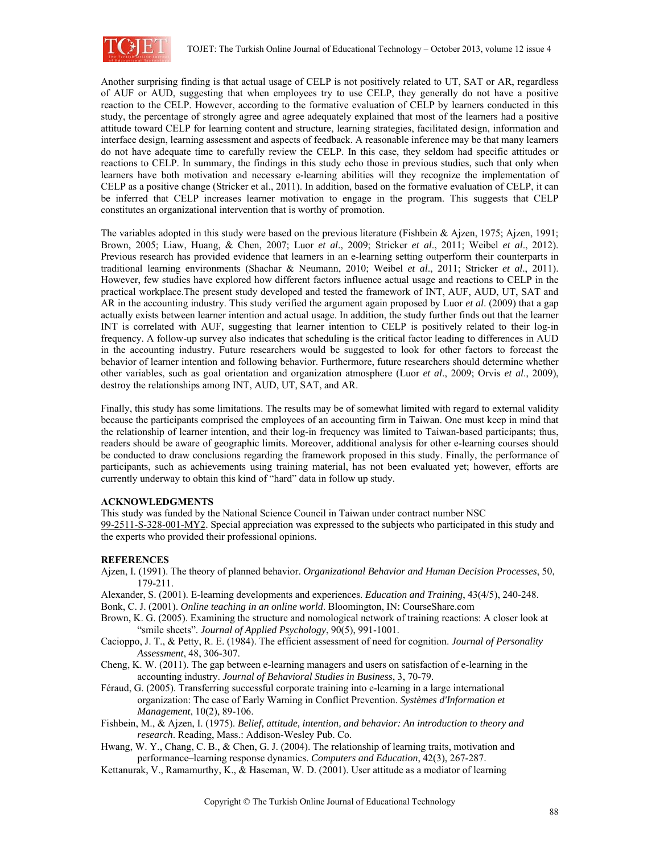

Another surprising finding is that actual usage of CELP is not positively related to UT, SAT or AR, regardless of AUF or AUD, suggesting that when employees try to use CELP, they generally do not have a positive reaction to the CELP. However, according to the formative evaluation of CELP by learners conducted in this study, the percentage of strongly agree and agree adequately explained that most of the learners had a positive attitude toward CELP for learning content and structure, learning strategies, facilitated design, information and interface design, learning assessment and aspects of feedback. A reasonable inference may be that many learners do not have adequate time to carefully review the CELP. In this case, they seldom had specific attitudes or reactions to CELP. In summary, the findings in this study echo those in previous studies, such that only when learners have both motivation and necessary e-learning abilities will they recognize the implementation of CELP as a positive change (Stricker et al., 2011). In addition, based on the formative evaluation of CELP, it can be inferred that CELP increases learner motivation to engage in the program. This suggests that CELP constitutes an organizational intervention that is worthy of promotion.

The variables adopted in this study were based on the previous literature (Fishbein & Ajzen, 1975; Ajzen, 1991; Brown, 2005; Liaw, Huang, & Chen, 2007; Luor *et al*., 2009; Stricker *et al*., 2011; Weibel *et al*., 2012). Previous research has provided evidence that learners in an e-learning setting outperform their counterparts in traditional learning environments (Shachar & Neumann, 2010; Weibel *et al*., 2011; Stricker *et al*., 2011). However, few studies have explored how different factors influence actual usage and reactions to CELP in the practical workplace.The present study developed and tested the framework of INT, AUF, AUD, UT, SAT and AR in the accounting industry. This study verified the argument again proposed by Luor *et al*. (2009) that a gap actually exists between learner intention and actual usage. In addition, the study further finds out that the learner INT is correlated with AUF, suggesting that learner intention to CELP is positively related to their log-in frequency. A follow-up survey also indicates that scheduling is the critical factor leading to differences in AUD in the accounting industry. Future researchers would be suggested to look for other factors to forecast the behavior of learner intention and following behavior. Furthermore, future researchers should determine whether other variables, such as goal orientation and organization atmosphere (Luor *et al*., 2009; Orvis *et al*., 2009), destroy the relationships among INT, AUD, UT, SAT, and AR.

Finally, this study has some limitations. The results may be of somewhat limited with regard to external validity because the participants comprised the employees of an accounting firm in Taiwan. One must keep in mind that the relationship of learner intention, and their log-in frequency was limited to Taiwan-based participants; thus, readers should be aware of geographic limits. Moreover, additional analysis for other e-learning courses should be conducted to draw conclusions regarding the framework proposed in this study. Finally, the performance of participants, such as achievements using training material, has not been evaluated yet; however, efforts are currently underway to obtain this kind of "hard" data in follow up study.

#### **ACKNOWLEDGMENTS**

This study was funded by the National Science Council in Taiwan under contract number NSC 99-2511-S-328-001-MY2. Special appreciation was expressed to the subjects who participated in this study and the experts who provided their professional opinions.

## **REFERENCES**

Ajzen, I. (1991). The theory of planned behavior. *Organizational Behavior and Human Decision Processes*, 50, 179-211.

Alexander, S. (2001). E-learning developments and experiences. *Education and Training*, 43(4/5), 240-248. Bonk, C. J. (2001). *Online teaching in an online world*. Bloomington, IN: CourseShare.com

- Brown, K. G. (2005). Examining the structure and nomological network of training reactions: A closer look at "smile sheets". *Journal of Applied Psychology*, 90(5), 991-1001.
- Cacioppo, J. T., & Petty, R. E. (1984). The efficient assessment of need for cognition. *Journal of Personality Assessment*, 48, 306-307.
- Cheng, K. W. (2011). The gap between e-learning managers and users on satisfaction of e-learning in the accounting industry. *Journal of Behavioral Studies in Business*, 3, 70-79.
- Féraud, G. (2005). Transferring successful corporate training into e-learning in a large international organization: The case of Early Warning in Conflict Prevention. *Systèmes d'Information et Management*, 10(2), 89-106.
- Fishbein, M., & Ajzen, I. (1975). *Belief, attitude, intention, and behavior: An introduction to theory and research*. Reading, Mass.: Addison-Wesley Pub. Co.
- Hwang, W. Y., Chang, C. B., & Chen, G. J. (2004). The relationship of learning traits, motivation and performance–learning response dynamics. *Computers and Education*, 42(3), 267-287.
- Kettanurak, V., Ramamurthy, K., & Haseman, W. D. (2001). User attitude as a mediator of learning